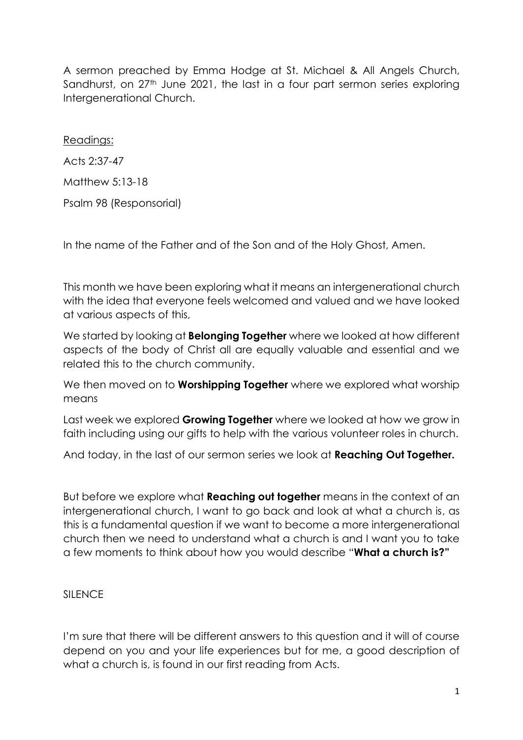A sermon preached by Emma Hodge at St. Michael & All Angels Church, Sandhurst, on 27<sup>th</sup> June 2021, the last in a four part sermon series exploring Intergenerational Church.

## Readings:

Acts 2:37-47

Matthew 5:13-18

Psalm 98 (Responsorial)

In the name of the Father and of the Son and of the Holy Ghost, Amen.

This month we have been exploring what it means an intergenerational church with the idea that everyone feels welcomed and valued and we have looked at various aspects of this,

We started by looking at **Belonging Together** where we looked at how different aspects of the body of Christ all are equally valuable and essential and we related this to the church community.

We then moved on to **Worshipping Together** where we explored what worship means

Last week we explored **Growing Together** where we looked at how we grow in faith including using our gifts to help with the various volunteer roles in church.

And today, in the last of our sermon series we look at **Reaching Out Together.**

But before we explore what **Reaching out together** means in the context of an intergenerational church, I want to go back and look at what a church is, as this is a fundamental question if we want to become a more intergenerational church then we need to understand what a church is and I want you to take a few moments to think about how you would describe "**What a church is?"**

## SILENCE

I'm sure that there will be different answers to this question and it will of course depend on you and your life experiences but for me, a good description of what a church is, is found in our first reading from Acts.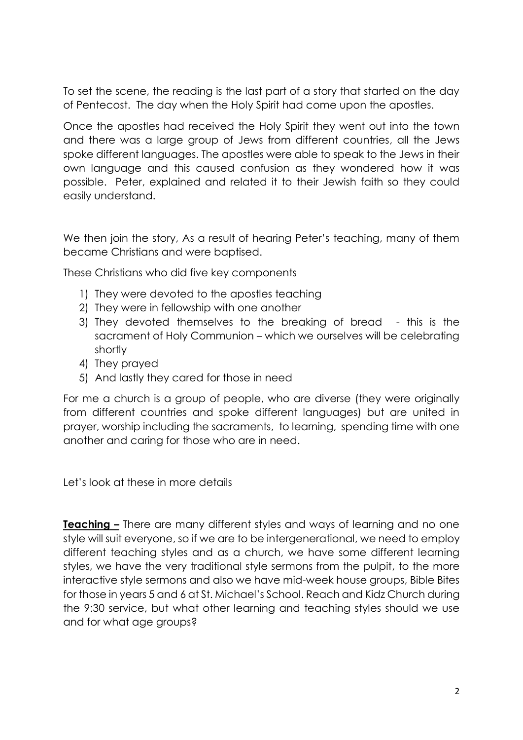To set the scene, the reading is the last part of a story that started on the day of Pentecost. The day when the Holy Spirit had come upon the apostles.

Once the apostles had received the Holy Spirit they went out into the town and there was a large group of Jews from different countries, all the Jews spoke different languages. The apostles were able to speak to the Jews in their own language and this caused confusion as they wondered how it was possible. Peter, explained and related it to their Jewish faith so they could easily understand.

We then join the story, As a result of hearing Peter's teaching, many of them became Christians and were baptised.

These Christians who did five key components

- 1) They were devoted to the apostles teaching
- 2) They were in fellowship with one another
- 3) They devoted themselves to the breaking of bread this is the sacrament of Holy Communion – which we ourselves will be celebrating shortly
- 4) They prayed
- 5) And lastly they cared for those in need

For me a church is a group of people, who are diverse (they were originally from different countries and spoke different languages) but are united in prayer, worship including the sacraments, to learning, spending time with one another and caring for those who are in need.

Let's look at these in more details

**Teaching –** There are many different styles and ways of learning and no one style will suit everyone, so if we are to be intergenerational, we need to employ different teaching styles and as a church, we have some different learning styles, we have the very traditional style sermons from the pulpit, to the more interactive style sermons and also we have mid-week house groups, Bible Bites for those in years 5 and 6 at St. Michael's School. Reach and Kidz Church during the 9:30 service, but what other learning and teaching styles should we use and for what age groups?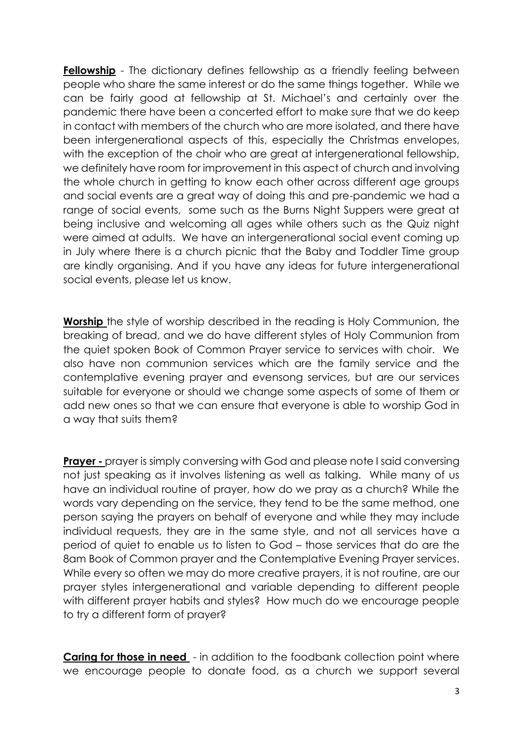**Fellowship** - The dictionary defines fellowship as a friendly feeling between people who share the same interest or do the same things together. While we can be fairly good at fellowship at St. Michael's and certainly over the pandemic there have been a concerted effort to make sure that we do keep in contact with members of the church who are more isolated, and there have been intergenerational aspects of this, especially the Christmas envelopes, with the exception of the choir who are great at intergenerational fellowship, we definitely have room for improvement in this aspect of church and involving the whole church in getting to know each other across different age groups and social events are a great way of doing this and pre-pandemic we had a range of social events, some such as the Burns Night Suppers were great at being inclusive and welcoming all ages while others such as the Quiz night were aimed at adults. We have an intergenerational social event coming up in July where there is a church picnic that the Baby and Toddler Time group are kindly organising. And if you have any ideas for future intergenerational social events, please let us know.

**Worship** the style of worship described in the reading is Holy Communion, the breaking of bread, and we do have different styles of Holy Communion from the quiet spoken Book of Common Prayer service to services with choir. We also have non communion services which are the family service and the contemplative evening prayer and evensong services, but are our services suitable for everyone or should we change some aspects of some of them or add new ones so that we can ensure that everyone is able to worship God in a way that suits them?

**Prayer -** prayer is simply conversing with God and please note I said conversing not just speaking as it involves listening as well as talking. While many of us have an individual routine of prayer, how do we pray as a church? While the words vary depending on the service, they tend to be the same method, one person saying the prayers on behalf of everyone and while they may include individual requests, they are in the same style, and not all services have a period of quiet to enable us to listen to God – those services that do are the 8am Book of Common prayer and the Contemplative Evening Prayer services. While every so often we may do more creative prayers, it is not routine, are our prayer styles intergenerational and variable depending to different people with different prayer habits and styles? How much do we encourage people to try a different form of prayer?

**Caring for those in need** - in addition to the foodbank collection point where we encourage people to donate food, as a church we support several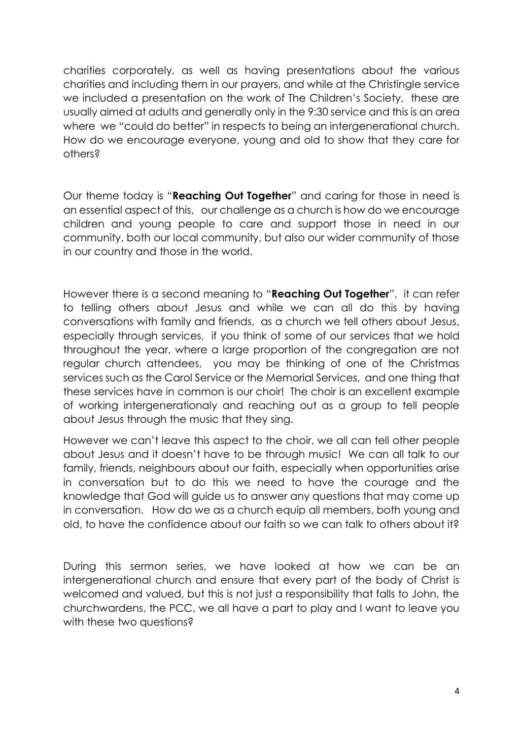charities corporately, as well as having presentations about the various charities and including them in our prayers, and while at the Christingle service we included a presentation on the work of The Children's Society, these are usually aimed at adults and generally only in the 9:30 service and this is an area where we "could do better" in respects to being an intergenerational church. How do we encourage everyone, young and old to show that they care for others?

Our theme today is "**Reaching Out Together**" and caring for those in need is an essential aspect of this, our challenge as a church is how do we encourage children and young people to care and support those in need in our community, both our local community, but also our wider community of those in our country and those in the world.

However there is a second meaning to "**Reaching Out Together**", it can refer to telling others about Jesus and while we can all do this by having conversations with family and friends, as a church we tell others about Jesus, especially through services, if you think of some of our services that we hold throughout the year, where a large proportion of the congregation are not regular church attendees, you may be thinking of one of the Christmas services such as the Carol Service or the Memorial Services, and one thing that these services have in common is our choir! The choir is an excellent example of working intergenerationaly and reaching out as a group to tell people about Jesus through the music that they sing.

However we can't leave this aspect to the choir, we all can tell other people about Jesus and it doesn't have to be through music! We can all talk to our family, friends, neighbours about our faith, especially when opportunities arise in conversation but to do this we need to have the courage and the knowledge that God will guide us to answer any questions that may come up in conversation. How do we as a church equip all members, both young and old, to have the confidence about our faith so we can talk to others about it?

During this sermon series, we have looked at how we can be an intergenerational church and ensure that every part of the body of Christ is welcomed and valued, but this is not just a responsibility that falls to John, the churchwardens, the PCC, we all have a part to play and I want to leave you with these two questions?